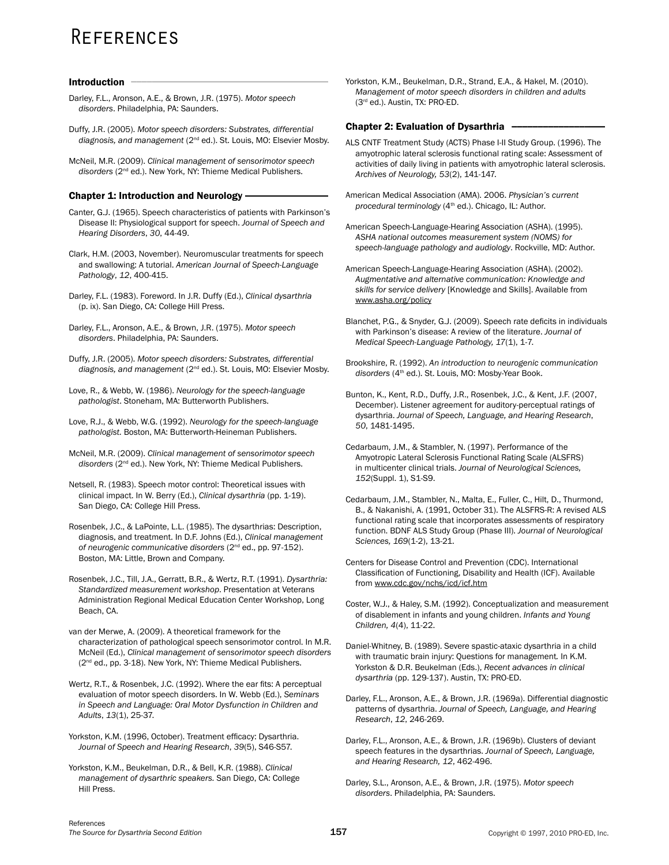# References

#### **Introduction**

- Darley, F.L., Aronson, A.E., & Brown, J.R. (1975). *Motor speech disorders*. Philadelphia, PA: Saunders.
- Duffy, J.R. (2005). *Motor speech disorders: Substrates, differential diagnosis, and management* (2nd ed.). St. Louis, MO: Elsevier Mosby.

McNeil, M.R. (2009). *Clinical management of sensorimotor speech disorders* (2nd ed.). New York, NY: Thieme Medical Publishers.

### Chapter 1: Introduction and Neurology

Canter, G.J. (1965). Speech characteristics of patients with Parkinson's Disease II: Physiological support for speech. *Journal of Speech and Hearing Disorders*, *30*, 44-49.

Clark, H.M. (2003, November). Neuromuscular treatments for speech and swallowing: A tutorial. *American Journal of Speech-Language Pathology*, *12*, 400-415.

Darley, F.L. (1983). Foreword. In J.R. Duffy (Ed.), *Clinical dysarthria* (p. ix). San Diego, CA: College Hill Press.

Darley, F.L., Aronson, A.E., & Brown, J.R. (1975). *Motor speech disorders*. Philadelphia, PA: Saunders.

Duffy, J.R. (2005). *Motor speech disorders: Substrates, differential diagnosis, and management* (2nd ed.). St. Louis, MO: Elsevier Mosby.

Love, R., & Webb, W. (1986). *Neurology for the speech-language pathologist*. Stoneham, MA: Butterworth Publishers.

Love, R.J., & Webb, W.G. (1992). *Neurology for the speech-language pathologist.* Boston, MA: Butterworth-Heineman Publishers.

McNeil, M.R. (2009). *Clinical management of sensorimotor speech disorders* (2nd ed.). New York, NY: Thieme Medical Publishers.

Netsell, R. (1983). Speech motor control: Theoretical issues with clinical impact. In W. Berry (Ed.), *Clinical dysarthria* (pp. 1-19). San Diego, CA: College Hill Press.

Rosenbek, J.C., & LaPointe, L.L. (1985). The dysarthrias: Description, diagnosis, and treatment. In D.F. Johns (Ed.), *Clinical management of neurogenic communicative disorders* (2nd ed., pp. 97-152). Boston, MA: Little, Brown and Company.

Rosenbek, J.C., Till, J.A., Gerratt, B.R., & Wertz, R.T. (1991). *Dysarthria: Standardized measurement workshop*. Presentation at Veterans Administration Regional Medical Education Center Workshop, Long Beach, CA.

van der Merwe, A. (2009). A theoretical framework for the characterization of pathological speech sensorimotor control. In M.R. McNeil (Ed.), *Clinical management of sensorimotor speech disorders* ( $2^{nd}$  ed., pp. 3-18). New York, NY: Thieme Medical Publishers.

Wertz, R.T., & Rosenbek, J.C. (1992). Where the ear fits: A perceptual evaluation of motor speech disorders. In W. Webb (Ed.), *Seminars in Speech and Language: Oral Motor Dysfunction in Children and Adults*, *13*(1), 25-37.

Yorkston, K.M. (1996, October). Treatment efficacy: Dysarthria. *Journal of Speech and Hearing Research*, *39*(5), S46-S57.

Yorkston, K.M., Beukelman, D.R., & Bell, K.R. (1988). *Clinical management of dysarthric speakers.* San Diego, CA: College Hill Press.

Yorkston, K.M., Beukelman, D.R., Strand, E.A., & Hakel, M. (2010). *Management of motor speech disorders in children and adults*  (3rd ed.). Austin, TX: PRO-ED.

#### Chapter 2: Evaluation of Dysarthria

- ALS CNTF Treatment Study (ACTS) Phase I-II Study Group. (1996). The amyotrophic lateral sclerosis functional rating scale: Assessment of activities of daily living in patients with amyotrophic lateral sclerosis. *Archives of Neurology, 53*(2), 141-147.
- American Medical Association (AMA). 2006. *Physician's current*  procedural terminology (4<sup>th</sup> ed.). Chicago, IL: Author.
- American Speech-Language-Hearing Association (ASHA). (1995). *ASHA national outcomes measurement system (NOMS) for speech-language pathology and audiology*. Rockville, MD: Author.

American Speech-Language-Hearing Association (ASHA). (2002). *Augmentative and alternative communication: Knowledge and skills for service delivery* [Knowledge and Skills]. Available from www.asha.org/policy

Blanchet, P.G., & Snyder, G.J. (2009). Speech rate deficits in individuals with Parkinson's disease: A review of the literature. *Journal of Medical Speech-Language Pathology, 17*(1), 1-7.

Brookshire, R. (1992). *An introduction to neurogenic communication disorders* (4th ed.). St. Louis, MO: Mosby-Year Book.

Bunton, K., Kent, R.D., Duffy, J.R., Rosenbek, J.C., & Kent, J.F. (2007, December). Listener agreement for auditory-perceptual ratings of dysarthria. *Journal of Speech, Language, and Hearing Research*, *50*, 1481-1495.

Cedarbaum, J.M., & Stambler, N. (1997). Performance of the Amyotropic Lateral Sclerosis Functional Rating Scale (ALSFRS) in multicenter clinical trials. *Journal of Neurological Sciences, 152*(Suppl. 1), S1-S9.

Cedarbaum, J.M., Stambler, N., Malta, E., Fuller, C., Hilt, D., Thurmond, B., & Nakanishi, A. (1991, October 31). The ALSFRS-R: A revised ALS functional rating scale that incorporates assessments of respiratory function. BDNF ALS Study Group (Phase III). *Journal of Neurological Sciences, 169*(1-2), 13-21.

Centers for Disease Control and Prevention (CDC). International Classification of Functioning, Disability and Health (ICF). Available from www.cdc.gov/nchs/icd/icf.htm

Coster, W.J., & Haley, S.M. (1992). Conceptualization and measurement of disablement in infants and young children. *Infants and Young Children, 4*(4), 11-22.

Daniel-Whitney, B. (1989). Severe spastic-ataxic dysarthria in a child with traumatic brain injury: Questions for management*.* In K.M. Yorkston & D.R. Beukelman (Eds.), *Recent advances in clinical dysarthria* (pp. 129-137). Austin, TX: PRO-ED.

Darley, F.L., Aronson, A.E., & Brown, J.R. (1969a). Differential diagnostic patterns of dysarthria. *Journal of Speech, Language, and Hearing Research*, *12*, 246-269.

Darley, F.L., Aronson, A.E., & Brown, J.R. (1969b). Clusters of deviant speech features in the dysarthrias. *Journal of Speech, Language, and Hearing Research, 12*, 462-496.

Darley, S.L., Aronson, A.E., & Brown, J.R. (1975). *Motor speech disorders*. Philadelphia, PA: Saunders.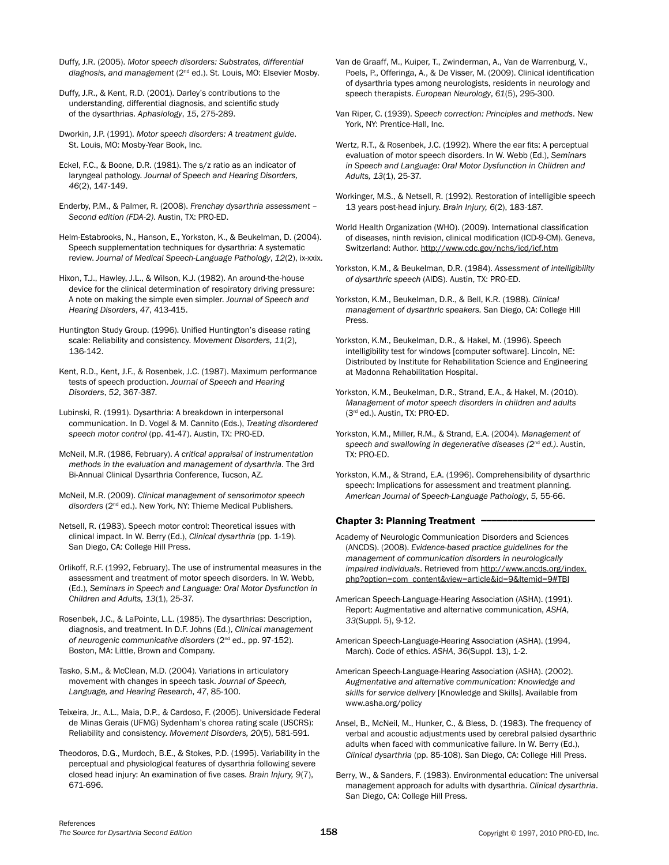Duffy, J.R. (2005). *Motor speech disorders: Substrates, differential diagnosis, and management* (2nd ed.). St. Louis, MO: Elsevier Mosby.

Duffy, J.R., & Kent, R.D. (2001). Darley's contributions to the understanding, differential diagnosis, and scientific study of the dysarthrias. *Aphasiology*, *15*, 275-289.

Dworkin, J.P. (1991). *Motor speech disorders: A treatment guide*. St. Louis, MO: Mosby-Year Book, Inc.

Eckel, F.C., & Boone, D.R. (1981). The s/z ratio as an indicator of laryngeal pathology. *Journal of Speech and Hearing Disorders, 46*(2), 147-149.

Enderby, P.M., & Palmer, R. (2008). *Frenchay dysarthria assessment – Second edition (FDA-2)*. Austin, TX: PRO-ED.

Helm-Estabrooks, N., Hanson, E., Yorkston, K., & Beukelman, D. (2004). Speech supplementation techniques for dysarthria: A systematic review. *Journal of Medical Speech-Language Pathology*, *12*(2), ix-xxix.

Hixon, T.J., Hawley, J.L., & Wilson, K.J. (1982). An around-the-house device for the clinical determination of respiratory driving pressure: A note on making the simple even simpler. *Journal of Speech and Hearing Disorders*, *47*, 413-415.

Huntington Study Group. (1996). Unified Huntington's disease rating scale: Reliability and consistency. *Movement Disorders, 11*(2), 136-142.

Kent, R.D., Kent, J.F., & Rosenbek, J.C. (1987). Maximum performance tests of speech production. *Journal of Speech and Hearing Disorders*, *52*, 367-387.

Lubinski, R. (1991). Dysarthria: A breakdown in interpersonal communication. In D. Vogel & M. Cannito (Eds.), *Treating disordered speech motor control* (pp. 41-47). Austin, TX: PRO-ED.

McNeil, M.R. (1986, February). *A critical appraisal of instrumentation methods in the evaluation and management of dysarthria*. The 3rd Bi-Annual Clinical Dysarthria Conference, Tucson, AZ.

McNeil, M.R. (2009). *Clinical management of sensorimotor speech disorders (2<sup>nd</sup> ed.).* New York, NY: Thieme Medical Publishers.

Netsell, R. (1983). Speech motor control: Theoretical issues with clinical impact. In W. Berry (Ed.), *Clinical dysarthria* (pp. 1-19). San Diego, CA: College Hill Press.

Orlikoff, R.F. (1992, February). The use of instrumental measures in the assessment and treatment of motor speech disorders. In W. Webb, (Ed.), *Seminars in Speech and Language: Oral Motor Dysfunction in Children and Adults, 13*(1), 25-37.

Rosenbek, J.C., & LaPointe, L.L. (1985). The dysarthrias: Description, diagnosis, and treatment. In D.F. Johns (Ed.), *Clinical management of neurogenic communicative disorders* (2nd ed., pp. 97-152). Boston, MA: Little, Brown and Company.

Tasko, S.M., & McClean, M.D. (2004). Variations in articulatory movement with changes in speech task. *Journal of Speech, Language, and Hearing Research*, *47*, 85-100.

Teixeira, Jr., A.L., Maia, D.P., & Cardoso, F. (2005). Universidade Federal de Minas Gerais (UFMG) Sydenham's chorea rating scale (USCRS): Reliability and consistency. *Movement Disorders, 20*(5), 581-591.

Theodoros, D.G., Murdoch, B.E., & Stokes, P.D. (1995). Variability in the perceptual and physiological features of dysarthria following severe closed head injury: An examination of five cases. *Brain Injury, 9*(7), 671-696.

Van de Graaff, M., Kuiper, T., Zwinderman, A., Van de Warrenburg, V., Poels, P., Offeringa, A., & De Visser, M. (2009). Clinical identification of dysarthria types among neurologists, residents in neurology and speech therapists. *European Neurology*, *61*(5), 295-300.

Van Riper, C. (1939). *Speech correction: Principles and methods*. New York, NY: Prentice-Hall, Inc.

Wertz, R.T., & Rosenbek, J.C. (1992). Where the ear fits: A perceptual evaluation of motor speech disorders. In W. Webb (Ed.), *Seminars in Speech and Language: Oral Motor Dysfunction in Children and Adults, 13*(1), 25-37.

Workinger, M.S., & Netsell, R. (1992). Restoration of intelligible speech 13 years post-head injury. *Brain Injury, 6*(2), 183-187.

World Health Organization (WHO). (2009). International classification of diseases, ninth revision, clinical modification (ICD-9-CM). Geneva, Switzerland: Author. http://www.cdc.gov/nchs/icd/icf.htm

Yorkston, K.M., & Beukelman, D.R. (1984). *Assessment of intelligibility of dysarthric speech* (AIDS)*.* Austin, TX: PRO-ED.

Yorkston, K.M., Beukelman, D.R., & Bell, K.R. (1988). *Clinical management of dysarthric speakers.* San Diego, CA: College Hill Press.

Yorkston, K.M., Beukelman, D.R., & Hakel, M. (1996). Speech intelligibility test for windows [computer software]. Lincoln, NE: Distributed by Institute for Rehabilitation Science and Engineering at Madonna Rehabilitation Hospital.

Yorkston, K.M., Beukelman, D.R., Strand, E.A., & Hakel, M. (2010). *Management of motor speech disorders in children and adults*  (3rd ed.). Austin, TX: PRO-ED.

Yorkston, K.M., Miller, R.M., & Strand, E.A. (2004). *Management of speech and swallowing in degenerative diseases (2*nd *ed.)*. Austin, TX: PRO-ED.

Yorkston, K.M., & Strand, E.A. (1996). Comprehensibility of dysarthric speech: Implications for assessment and treatment planning. *American Journal of Speech-Language Pathology*, *5,* 55-66.

# Chapter 3: Planning Treatment .

Academy of Neurologic Communication Disorders and Sciences (ANCDS). (2008). *Evidence-based practice guidelines for the management of communication disorders in neurologically impaired individuals*. Retrieved from http://www.ancds.org/index. php?option=com\_content&view=article&id=9&Itemid=9#TBI

American Speech-Language-Hearing Association (ASHA). (1991). Report: Augmentative and alternative communication, *ASHA*, *33*(Suppl. 5), 9-12.

American Speech-Language-Hearing Association (ASHA). (1994, March). Code of ethics. *ASHA*, *36*(Suppl. 13), 1-2.

American Speech-Language-Hearing Association (ASHA). (2002). *Augmentative and alternative communication: Knowledge and skills for service delivery* [Knowledge and Skills]. Available from www.asha.org/policy

Ansel, B., McNeil, M., Hunker, C., & Bless, D. (1983). The frequency of verbal and acoustic adjustments used by cerebral palsied dysarthric adults when faced with communicative failure. In W. Berry (Ed.), *Clinical dysarthria* (pp. 85-108). San Diego, CA: College Hill Press.

Berry, W., & Sanders, F. (1983). Environmental education: The universal management approach for adults with dysarthria. *Clinical dysarthria*. San Diego, CA: College Hill Press.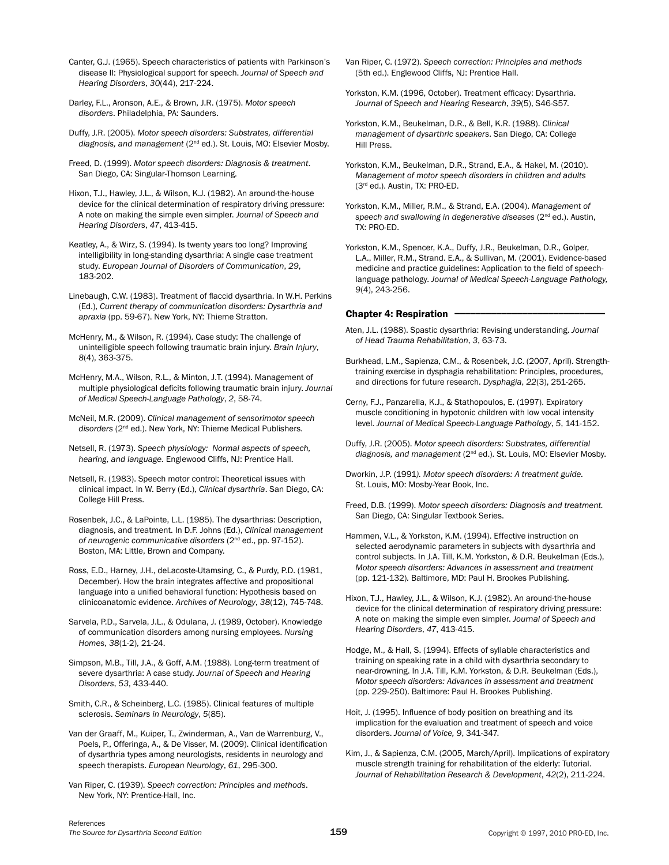Canter, G.J. (1965). Speech characteristics of patients with Parkinson's disease II: Physiological support for speech. *Journal of Speech and Hearing Disorders*, *30*(44), 217-224.

Darley, F.L., Aronson, A.E., & Brown, J.R. (1975). *Motor speech disorders*. Philadelphia, PA: Saunders.

Duffy, J.R. (2005). *Motor speech disorders: Substrates, differential diagnosis, and management* (2nd ed.). St. Louis, MO: Elsevier Mosby.

Freed, D. (1999). *Motor speech disorders: Diagnosis & treatment*. San Diego, CA: Singular-Thomson Learning.

Hixon, T.J., Hawley, J.L., & Wilson, K.J. (1982). An around-the-house device for the clinical determination of respiratory driving pressure: A note on making the simple even simpler. *Journal of Speech and Hearing Disorders*, *47*, 413-415.

Keatley, A., & Wirz, S. (1994). Is twenty years too long? Improving intelligibility in long-standing dysarthria: A single case treatment study. *European Journal of Disorders of Communication*, *29*, 183-202.

Linebaugh, C.W. (1983). Treatment of flaccid dysarthria. In W.H. Perkins (Ed.), *Current therapy of communication disorders: Dysarthria and apraxia* (pp. 59-67). New York, NY: Thieme Stratton.

McHenry, M., & Wilson, R. (1994). Case study: The challenge of unintelligible speech following traumatic brain injury. *Brain Injury*, *8*(4), 363-375.

McHenry, M.A., Wilson, R.L., & Minton, J.T. (1994). Management of multiple physiological deficits following traumatic brain injury. *Journal of Medical Speech-Language Pathology*, *2*, 58-74.

McNeil, M.R. (2009). *Clinical management of sensorimotor speech disorders* (2nd ed.). New York, NY: Thieme Medical Publishers.

Netsell, R. (1973). *Speech physiology: Normal aspects of speech, hearing, and language.* Englewood Cliffs, NJ: Prentice Hall.

Netsell, R. (1983). Speech motor control: Theoretical issues with clinical impact. In W. Berry (Ed.), *Clinical dysarthria*. San Diego, CA: College Hill Press.

Rosenbek, J.C., & LaPointe, L.L. (1985). The dysarthrias: Description, diagnosis, and treatment. In D.F. Johns (Ed.), *Clinical management of neurogenic communicative disorders* (2nd ed., pp. 97-152). Boston, MA: Little, Brown and Company.

Ross, E.D., Harney, J.H., deLacoste-Utamsing, C., & Purdy, P.D. (1981, December). How the brain integrates affective and propositional language into a unified behavioral function: Hypothesis based on clinicoanatomic evidence. *Archives of Neurology*, *38*(12), 745-748.

Sarvela, P.D., Sarvela, J.L., & Odulana, J. (1989, October). Knowledge of communication disorders among nursing employees. *Nursing Homes*, *38*(1-2), 21-24.

Simpson, M.B., Till, J.A., & Goff, A.M. (1988). Long-term treatment of severe dysarthria: A case study. *Journal of Speech and Hearing Disorders*, *53*, 433-440.

Smith, C.R., & Scheinberg, L.C. (1985). Clinical features of multiple sclerosis. *Seminars in Neurology*, *5*(85).

Van der Graaff, M., Kuiper, T., Zwinderman, A., Van de Warrenburg, V., Poels, P., Offeringa, A., & De Visser, M. (2009). Clinical identification of dysarthria types among neurologists, residents in neurology and speech therapists. *European Neurology*, *61*, 295-300.

Van Riper, C. (1939). *Speech correction: Principles and methods*. New York, NY: Prentice-Hall, Inc.

Van Riper, C. (1972). *Speech correction: Principles and methods* (5th ed.). Englewood Cliffs, NJ: Prentice Hall.

Yorkston, K.M. (1996, October). Treatment efficacy: Dysarthria. *Journal of Speech and Hearing Research*, *39*(5), S46-S57.

Yorkston, K.M., Beukelman, D.R., & Bell, K.R. (1988). *Clinical management of dysarthric speakers*. San Diego, CA: College Hill Press.

Yorkston, K.M., Beukelman, D.R., Strand, E.A., & Hakel, M. (2010). *Management of motor speech disorders in children and adults*  (3rd ed.). Austin, TX: PRO-ED.

Yorkston, K.M., Miller, R.M., & Strand, E.A. (2004). *Management of speech and swallowing in degenerative diseases* (2nd ed.). Austin, TX: PRO-ED.

Yorkston, K.M., Spencer, K.A., Duffy, J.R., Beukelman, D.R., Golper, L.A., Miller, R.M., Strand. E.A., & Sullivan, M. (2001). Evidence-based medicine and practice guidelines: Application to the field of speechlanguage pathology. *Journal of Medical Speech-Language Pathology, 9*(4), 243-256.

#### Chapter 4: Respiration -

Aten, J.L. (1988). Spastic dysarthria: Revising understanding. *Journal of Head Trauma Rehabilitation*, *3*, 63-73.

Burkhead, L.M., Sapienza, C.M., & Rosenbek, J.C. (2007, April). Strengthtraining exercise in dysphagia rehabilitation: Principles, procedures, and directions for future research. *Dysphagia*, *22*(3), 251-265.

Cerny, F.J., Panzarella, K.J., & Stathopoulos, E. (1997). Expiratory muscle conditioning in hypotonic children with low vocal intensity level. *Journal of Medical Speech-Language Pathology*, *5*, 141-152.

Duffy, J.R. (2005). *Motor speech disorders: Substrates, differential diagnosis, and management* (2nd ed.). St. Louis, MO: Elsevier Mosby.

Dworkin, J.P. (1991*). Motor speech disorders: A treatment guide.* St. Louis, MO: Mosby-Year Book, Inc.

Freed, D.B. (1999). *Motor speech disorders: Diagnosis and treatment.* San Diego, CA: Singular Textbook Series.

Hammen, V.L., & Yorkston, K.M. (1994). Effective instruction on selected aerodynamic parameters in subjects with dysarthria and control subjects. In J.A. Till, K.M. Yorkston, & D.R. Beukelman (Eds.), *Motor speech disorders: Advances in assessment and treatment*  (pp. 121-132)*.* Baltimore, MD: Paul H. Brookes Publishing.

Hixon, T.J., Hawley, J.L., & Wilson, K.J. (1982). An around-the-house device for the clinical determination of respiratory driving pressure: A note on making the simple even simpler. *Journal of Speech and Hearing Disorders*, *47*, 413-415.

Hodge, M., & Hall, S. (1994). Effects of syllable characteristics and training on speaking rate in a child with dysarthria secondary to near-drowning. In J.A. Till, K.M. Yorkston, & D.R. Beukelman (Eds.), *Motor speech disorders: Advances in assessment and treatment* (pp. 229-250). Baltimore: Paul H. Brookes Publishing.

Hoit, J. (1995). Influence of body position on breathing and its implication for the evaluation and treatment of speech and voice disorders. *Journal of Voice, 9*, 341-347.

Kim, J., & Sapienza, C.M. (2005, March/April). Implications of expiratory muscle strength training for rehabilitation of the elderly: Tutorial. *Journal of Rehabilitation Research & Development*, *42*(2), 211-224.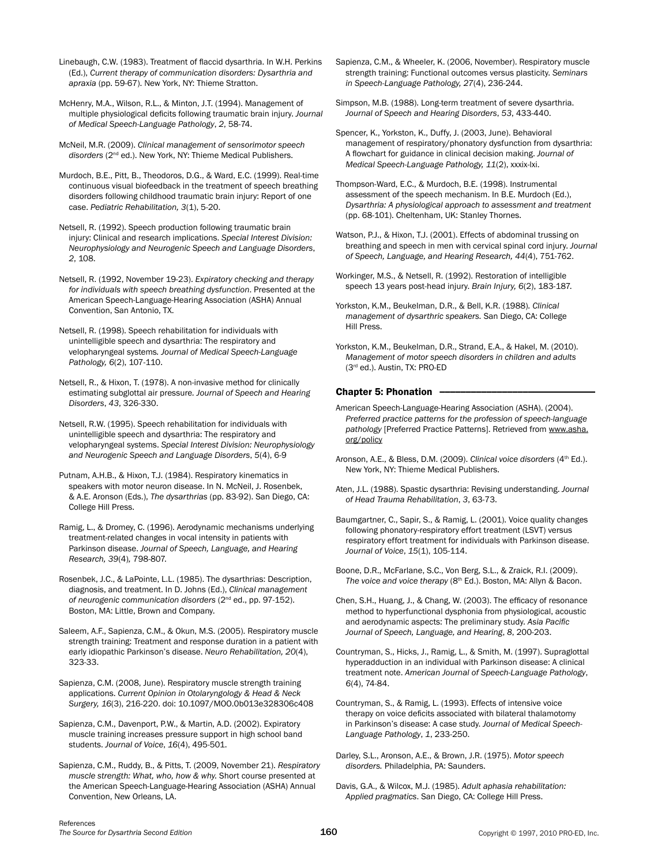Linebaugh, C.W. (1983). Treatment of flaccid dysarthria. In W.H. Perkins (Ed.), *Current therapy of communication disorders: Dysarthria and apraxia* (pp. 59-67). New York, NY: Thieme Stratton.

McHenry, M.A., Wilson, R.L., & Minton, J.T. (1994). Management of multiple physiological deficits following traumatic brain injury. *Journal of Medical Speech-Language Pathology*, *2*, 58-74.

McNeil, M.R. (2009). *Clinical management of sensorimotor speech*  disorders (2<sup>nd</sup> ed.). New York, NY: Thieme Medical Publishers.

Murdoch, B.E., Pitt, B., Theodoros, D.G., & Ward, E.C. (1999). Real-time continuous visual biofeedback in the treatment of speech breathing disorders following childhood traumatic brain injury: Report of one case. *Pediatric Rehabilitation, 3*(1), 5-20.

Netsell, R. (1992). Speech production following traumatic brain injury: Clinical and research implications. *Special Interest Division: Neurophysiology and Neurogenic Speech and Language Disorders*, *2*, 108.

Netsell, R. (1992, November 19-23). *Expiratory checking and therapy for individuals with speech breathing dysfunction*. Presented at the American Speech-Language-Hearing Association (ASHA) Annual Convention, San Antonio, TX.

Netsell, R. (1998). Speech rehabilitation for individuals with unintelligible speech and dysarthria: The respiratory and velopharyngeal systems*. Journal of Medical Speech-Language Pathology, 6*(2), 107-110.

Netsell, R., & Hixon, T. (1978). A non-invasive method for clinically estimating subglottal air pressure*. Journal of Speech and Hearing Disorders*, *43*, 326-330.

Netsell, R.W. (1995). Speech rehabilitation for individuals with unintelligible speech and dysarthria: The respiratory and velopharyngeal systems. *Special Interest Division: Neurophysiology and Neurogenic Speech and Language Disorders*, *5*(4), 6-9

Putnam, A.H.B., & Hixon, T.J. (1984). Respiratory kinematics in speakers with motor neuron disease. In N. McNeil, J. Rosenbek, & A.E. Aronson (Eds.), *The dysarthrias* (pp. 83-92). San Diego, CA: College Hill Press.

Ramig, L., & Dromey, C. (1996). Aerodynamic mechanisms underlying treatment-related changes in vocal intensity in patients with Parkinson disease. *Journal of Speech, Language, and Hearing Research, 39*(4)*,* 798-807.

Rosenbek, J.C., & LaPointe, L.L. (1985). The dysarthrias: Description, diagnosis, and treatment. In D. Johns (Ed.), *Clinical management of neurogenic communication disorders* (2nd ed., pp. 97-152). Boston, MA: Little, Brown and Company.

Saleem, A.F., Sapienza, C.M., & Okun, M.S. (2005). Respiratory muscle strength training: Treatment and response duration in a patient with early idiopathic Parkinson's disease. *Neuro Rehabilitation, 20*(4), 323-33.

Sapienza, C.M. (2008, June). Respiratory muscle strength training applications. *Current Opinion in Otolaryngology & Head & Neck Surgery, 16*(3), 216-220. doi: 10.1097/MOO.0b013e328306c408

Sapienza, C.M., Davenport, P.W., & Martin, A.D. (2002). Expiratory muscle training increases pressure support in high school band students. *Journal of Voice*, *16*(4), 495-501.

Sapienza, C.M., Ruddy, B., & Pitts, T. (2009, November 21). *Respiratory muscle strength: What, who, how & why.* Short course presented at the American Speech-Language-Hearing Association (ASHA) Annual Convention, New Orleans, LA.

Sapienza, C.M., & Wheeler, K. (2006, November). Respiratory muscle strength training: Functional outcomes versus plasticity. *Seminars in Speech-Language Pathology, 27*(4), 236-244.

Simpson, M.B. (1988). Long-term treatment of severe dysarthria. *Journal of Speech and Hearing Disorders*, *53*, 433-440.

Spencer, K., Yorkston, K., Duffy, J. (2003, June). Behavioral management of respiratory/phonatory dysfunction from dysarthria: A flowchart for guidance in clinical decision making. *Journal of Medical Speech-Language Pathology, 11*(2), xxxix-lxi.

Thompson-Ward, E.C., & Murdoch, B.E. (1998). Instrumental assessment of the speech mechanism. In B.E. Murdoch (Ed.), *Dysarthria: A physiological approach to assessment and treatment*  (pp. 68-101). Cheltenham, UK: Stanley Thornes.

Watson, P.J., & Hixon, T.J. (2001). Effects of abdominal trussing on breathing and speech in men with cervical spinal cord injury. *Journal of Speech, Language, and Hearing Research, 44*(4), 751-762.

Workinger, M.S., & Netsell, R. (1992). Restoration of intelligible speech 13 years post-head injury. *Brain Injury, 6*(2), 183-187.

Yorkston, K.M., Beukelman, D.R., & Bell, K.R. (1988)*. Clinical management of dysarthric speakers.* San Diego, CA: College Hill Press.

Yorkston, K.M., Beukelman, D.R., Strand, E.A., & Hakel, M. (2010). *Management of motor speech disorders in children and adults*  (3rd ed.). Austin, TX: PRO-ED

### Chapter 5: Phonation

American Speech-Language-Hearing Association (ASHA). (2004). *Preferred practice patterns for the profession of speech-language pathology* [Preferred Practice Patterns]. Retrieved from www.asha. org/policy

Aronson, A.E., & Bless, D.M. (2009). *Clinical voice disorders* (4<sup>th</sup> Ed.). New York, NY: Thieme Medical Publishers.

Aten, J.L. (1988). Spastic dysarthria: Revising understanding. *Journal of Head Trauma Rehabilitation*, *3*, 63-73.

Baumgartner, C., Sapir, S., & Ramig, L. (2001). Voice quality changes following phonatory-respiratory effort treatment (LSVT) versus respiratory effort treatment for individuals with Parkinson disease. *Journal of Voice*, *15*(1), 105-114.

Boone, D.R., McFarlane, S.C., Von Berg, S.L., & Zraick, R.I. (2009). *The voice and voice therapy* (8<sup>th</sup> Ed.). Boston, MA: Allyn & Bacon.

Chen, S.H., Huang, J., & Chang, W. (2003). The efficacy of resonance method to hyperfunctional dysphonia from physiological, acoustic and aerodynamic aspects: The preliminary study. *Asia Pacific Journal of Speech, Language, and Hearing*, *8*, 200-203.

Countryman, S., Hicks, J., Ramig, L., & Smith, M. (1997). Supraglottal hyperadduction in an individual with Parkinson disease: A clinical treatment note. *American Journal of Speech-Language Pathology*, *6*(4), 74-84.

Countryman, S., & Ramig, L. (1993). Effects of intensive voice therapy on voice deficits associated with bilateral thalamotomy in Parkinson's disease: A case study. *Journal of Medical Speech-Language Pathology*, *1*, 233-250.

Darley, S.L., Aronson, A.E., & Brown, J.R. (1975). *Motor speech disorders.* Philadelphia, PA: Saunders.

Davis, G.A., & Wilcox, M.J. (1985). *Adult aphasia rehabilitation: Applied pragmatics*. San Diego, CA: College Hill Press.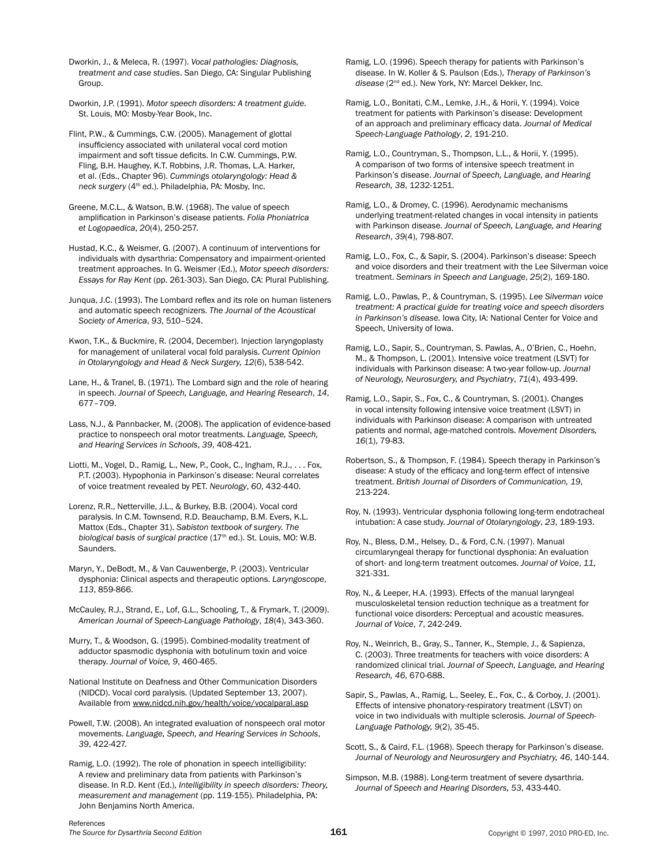Dworkin, J., & Meleca, R. (1997). *Vocal pathologies: Diagnosis, treatment and case studies*. San Diego, CA: Singular Publishing Group.

Dworkin, J.P. (1991). *Motor speech disorders: A treatment guide.* St. Louis, MO: Mosby-Year Book, Inc.

Flint, P.W., & Cummings, C.W. (2005). Management of glottal insufficiency associated with unilateral vocal cord motion impairment and soft tissue deficits. In C.W. Cummings, P.W. Fling, B.H. Haughey, K.T. Robbins, J.R. Thomas, L.A. Harker, et al. (Eds., Chapter 96). *Cummings otolaryngology: Head &*  neck surgery (4<sup>th</sup> ed.). Philadelphia, PA: Mosby, Inc.

Greene, M.C.L., & Watson, B.W. (1968). The value of speech amplification in Parkinson's disease patients. *Folia Phoniatrica et Logopaedica*, *20*(4), 250-257.

Hustad, K.C., & Weismer, G. (2007). A continuum of interventions for individuals with dysarthria: Compensatory and impairment-oriented treatment approaches. In G. Weismer (Ed.), *Motor speech disorders: Essays for Ray Kent* (pp. 261-303). San Diego, CA: Plural Publishing.

Junqua, J.C. (1993). The Lombard reflex and its role on human listeners and automatic speech recognizers. *The Journal of the Acoustical Society of America*, *93*, 510–524.

Kwon, T.K., & Buckmire, R. (2004, December). Injection laryngoplasty for management of unilateral vocal fold paralysis. *Current Opinion in Otolaryngology and Head & Neck Surgery, 12*(6), 538-542.

Lane, H., & Tranel, B. (1971). The Lombard sign and the role of hearing in speech. *Journal of Speech, Language, and Hearing Research*, *14*, 677–709.

Lass, N.J., & Pannbacker, M. (2008). The application of evidence-based practice to nonspeech oral motor treatments. *Language, Speech, and Hearing Services in Schools*, *39*, 408-421.

Liotti, M., Vogel, D., Ramig, L., New, P., Cook, C., Ingham, R.J., . . . Fox, P.T. (2003). Hypophonia in Parkinson's disease: Neural correlates of voice treatment revealed by PET. *Neurology*, *60*, 432-440.

Lorenz, R.R., Netterville, J.L., & Burkey, B.B. (2004). Vocal cord paralysis. In C.M. Townsend, R.D. Beauchamp, B.M. Evers, K.L. Mattox (Eds., Chapter 31). *Sabiston textbook of surgery. The*  biological basis of surgical practice (17<sup>th</sup> ed.). St. Louis, MO: W.B. Saunders.

Maryn, Y., DeBodt, M., & Van Cauwenberge, P. (2003). Ventricular dysphonia: Clinical aspects and therapeutic options. *Laryngoscope*, *113*, 859-866.

McCauley, R.J., Strand, E., Lof, G.L., Schooling, T., & Frymark, T. (2009). *American Journal of Speech-Language Pathology*, *18*(4), 343-360.

Murry, T., & Woodson, G. (1995). Combined-modality treatment of adductor spasmodic dysphonia with botulinum toxin and voice therapy. *Journal of Voice, 9*, 460-465.

National Institute on Deafness and Other Communication Disorders (NIDCD). Vocal cord paralysis. (Updated September 13, 2007). Available from www.nidcd.nih.gov/health/voice/vocalparal.asp

Powell, T.W. (2008). An integrated evaluation of nonspeech oral motor movements. *Language, Speech, and Hearing Services in Schools*, *39*, 422-427.

Ramig, L.O. (1992). The role of phonation in speech intelligibility: A review and preliminary data from patients with Parkinson's disease. In R.D. Kent (Ed.), *Intelligibility in speech disorders: Theory, measurement and management* (pp. 119-155). Philadelphia, PA: John Benjamins North America.

Ramig, L.O. (1996). Speech therapy for patients with Parkinson's disease. In W. Koller & S. Paulson (Eds.), *Therapy of Parkinson's disease* (2nd ed.). New York, NY: Marcel Dekker, Inc.

Ramig, L.O., Bonitati, C.M., Lemke, J.H., & Horii, Y. (1994). Voice treatment for patients with Parkinson's disease: Development of an approach and preliminary efficacy data. *Journal of Medical Speech-Language Pathology*, *2*, 191-210.

Ramig, L.O., Countryman, S., Thompson, L.L., & Horii, Y. (1995). A comparison of two forms of intensive speech treatment in Parkinson's disease. *Journal of Speech, Language, and Hearing Research, 38*, 1232-1251.

Ramig, L.O., & Dromey, C. (1996). Aerodynamic mechanisms underlying treatment-related changes in vocal intensity in patients with Parkinson disease. *Journal of Speech, Language, and Hearing Research*, *39*(4), 798-807.

Ramig, L.O., Fox, C., & Sapir, S. (2004). Parkinson's disease: Speech and voice disorders and their treatment with the Lee Silverman voice treatment. *Seminars in Speech and Language*, *25*(2), 169-180.

Ramig, L.O., Pawlas, P., & Countryman, S. (1995). *Lee Silverman voice treatment: A practical guide for treating voice and speech disorders in Parkinson's disease.* Iowa City, IA: National Center for Voice and Speech, University of Iowa.

Ramig, L.O., Sapir, S., Countryman, S. Pawlas, A., O'Brien, C., Hoehn, M., & Thompson, L. (2001). Intensive voice treatment (LSVT) for individuals with Parkinson disease: A two-year follow-up. *Journal of Neurology, Neurosurgery, and Psychiatry*, *71*(4), 493-499.

Ramig, L.O., Sapir, S., Fox, C., & Countryman, S. (2001). Changes in vocal intensity following intensive voice treatment (LSVT) in individuals with Parkinson disease: A comparison with untreated patients and normal, age-matched controls. *Movement Disorders, 16*(1), 79-83.

Robertson, S., & Thompson, F. (1984). Speech therapy in Parkinson's disease: A study of the efficacy and long-term effect of intensive treatment. *British Journal of Disorders of Communication, 19*, 213-224.

Roy, N. (1993). Ventricular dysphonia following long-term endotracheal intubation: A case study. *Journal of Otolaryngology*, *23*, 189-193.

Roy, N., Bless, D.M., Helsey, D., & Ford, C.N. (1997). Manual circumlaryngeal therapy for functional dysphonia: An evaluation of short- and long-term treatment outcomes. *Journal of Voice*, *11*, 321-331.

Roy, N., & Leeper, H.A. (1993). Effects of the manual laryngeal musculoskeletal tension reduction technique as a treatment for functional voice disorders: Perceptual and acoustic measures. *Journal of Voice*, *7*, 242-249.

Roy, N., Weinrich, B., Gray, S., Tanner, K., Stemple, J., & Sapienza, C. (2003). Three treatments for teachers with voice disorders: A randomized clinical trial. *Journal of Speech, Language, and Hearing Research, 46*, 670-688.

Sapir, S., Pawlas, A., Ramig, L., Seeley, E., Fox, C., & Corboy, J. (2001). Effects of intensive phonatory-respiratory treatment (LSVT) on voice in two individuals with multiple sclerosis. *Journal of Speech-Language Pathology, 9*(2), 35-45.

Scott, S., & Caird, F.L. (1968). Speech therapy for Parkinson's disease. *Journal of Neurology and Neurosurgery and Psychiatry, 46*, 140-144.

Simpson, M.B. (1988). Long-term treatment of severe dysarthria. *Journal of Speech and Hearing Disorders, 53*, 433-440.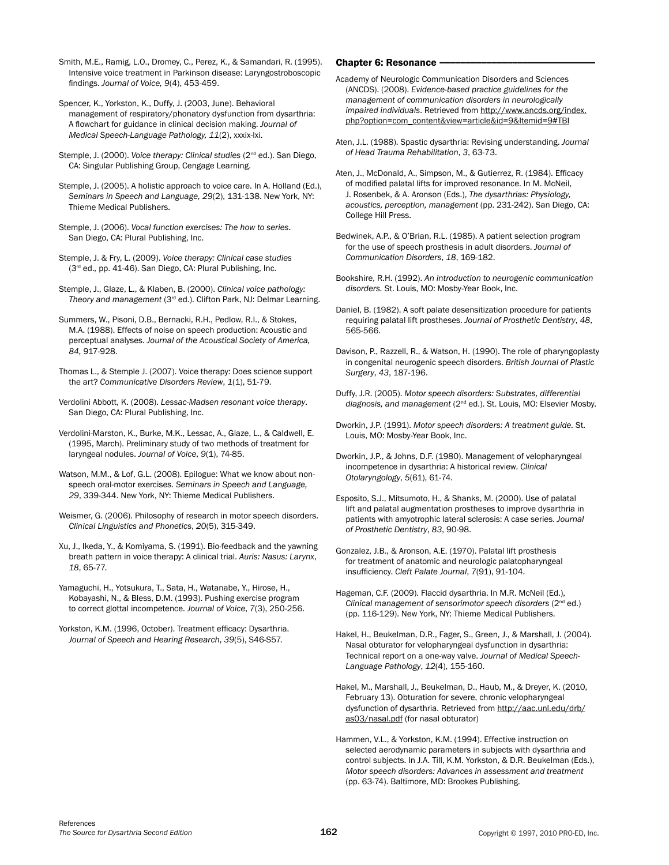Smith, M.E., Ramig, L.O., Dromey, C., Perez, K., & Samandari, R. (1995). Intensive voice treatment in Parkinson disease: Laryngostroboscopic findings. *Journal of Voice, 9*(4), 453-459.

Spencer, K., Yorkston, K., Duffy, J. (2003, June). Behavioral management of respiratory/phonatory dysfunction from dysarthria: A flowchart for guidance in clinical decision making. *Journal of Medical Speech-Language Pathology, 11*(2), xxxix-lxi.

Stemple, J. (2000). *Voice therapy: Clinical studies* (2nd ed.). San Diego, CA: Singular Publishing Group, Cengage Learning.

Stemple, J. (2005). A holistic approach to voice care. In A. Holland (Ed.), *Seminars in Speech and Language, 29*(2), 131-138. New York, NY: Thieme Medical Publishers.

Stemple, J. (2006). *Vocal function exercises: The how to series*. San Diego, CA: Plural Publishing, Inc.

Stemple, J. & Fry, L. (2009). *Voice therapy: Clinical case studies* (3rd ed.*,* pp. 41-46). San Diego, CA: Plural Publishing, Inc.

Stemple, J., Glaze, L., & Klaben, B. (2000). *Clinical voice pathology: Theory and management* (3rd ed.). Clifton Park, NJ: Delmar Learning.

Summers, W., Pisoni, D.B., Bernacki, R.H., Pedlow, R.I., & Stokes, M.A. (1988). Effects of noise on speech production: Acoustic and perceptual analyses. *Journal of the Acoustical Society of America, 84,* 917-928.

Thomas L., & Stemple J. (2007). Voice therapy: Does science support the art? *Communicative Disorders Review*, *1*(1), 51-79.

Verdolini Abbott, K. (2008). *Lessac-Madsen resonant voice therapy*. San Diego, CA: Plural Publishing, Inc.

Verdolini-Marston, K., Burke, M.K., Lessac, A., Glaze, L., & Caldwell, E. (1995, March). Preliminary study of two methods of treatment for laryngeal nodules. *Journal of Voice*, *9*(1), 74-85.

Watson, M.M., & Lof, G.L. (2008). Epilogue: What we know about nonspeech oral-motor exercises. *Seminars in Speech and Language, 29*, 339-344. New York, NY: Thieme Medical Publishers.

Weismer, G. (2006). Philosophy of research in motor speech disorders. *Clinical Linguistics and Phonetics*, *20*(5), 315-349.

Xu, J., Ikeda, Y., & Komiyama, S. (1991). Bio-feedback and the yawning breath pattern in voice therapy: A clinical trial. *Auris: Nasus: Larynx*, *18*, 65-77.

Yamaguchi, H., Yotsukura, T., Sata, H., Watanabe, Y., Hirose, H., Kobayashi, N., & Bless, D.M. (1993). Pushing exercise program to correct glottal incompetence. *Journal of Voice*, *7*(3), 250-256.

Yorkston, K.M. (1996, October). Treatment efficacy: Dysarthria. *Journal of Speech and Hearing Research*, *39*(5), S46-S57.

#### Chapter 6: Resonance -

Academy of Neurologic Communication Disorders and Sciences (ANCDS). (2008). *Evidence-based practice guidelines for the management of communication disorders in neurologically impaired individuals*. Retrieved from http://www.ancds.org/index. php?option=com\_content&view=article&id=9&Itemid=9#TBI

Aten, J.L. (1988). Spastic dysarthria: Revising understanding. *Journal of Head Trauma Rehabilitation*, *3*, 63-73.

Aten, J., McDonald, A., Simpson, M., & Gutierrez, R. (1984). Efficacy of modified palatal lifts for improved resonance. In M. McNeil, J. Rosenbek, & A. Aronson (Eds.), *The dysarthrias: Physiology, acoustics, perception, management* (pp. 231-242). San Diego, CA: College Hill Press.

Bedwinek, A.P., & O'Brian, R.L. (1985). A patient selection program for the use of speech prosthesis in adult disorders. *Journal of Communication Disorders*, *18*, 169-182.

Bookshire, R.H. (1992). *An introduction to neurogenic communication disorders.* St. Louis, MO: Mosby-Year Book, Inc.

Daniel, B. (1982). A soft palate desensitization procedure for patients requiring palatal lift prostheses. *Journal of Prosthetic Dentistry*, *48*, 565-566.

Davison, P., Razzell, R., & Watson, H. (1990). The role of pharyngoplasty in congenital neurogenic speech disorders. *British Journal of Plastic Surgery*, *43*, 187-196.

Duffy, J.R. (2005). *Motor speech disorders: Substrates, differential diagnosis, and management* (2nd ed.). St. Louis, MO: Elsevier Mosby.

Dworkin, J.P. (1991). *Motor speech disorders: A treatment guide.* St. Louis, MO: Mosby-Year Book, Inc.

Dworkin, J.P., & Johns, D.F. (1980). Management of velopharyngeal incompetence in dysarthria: A historical review. *Clinical Otolaryngology*, *5*(61), 61-74.

Esposito, S.J., Mitsumoto, H., & Shanks, M. (2000). Use of palatal lift and palatal augmentation prostheses to improve dysarthria in patients with amyotrophic lateral sclerosis: A case series. *Journal of Prosthetic Dentistry*, *83*, 90-98.

Gonzalez, J.B., & Aronson, A.E. (1970). Palatal lift prosthesis for treatment of anatomic and neurologic palatopharyngeal insufficiency. *Cleft Palate Journal*, *7*(91), 91-104.

Hageman, C.F. (2009). Flaccid dysarthria. In M.R. McNeil (Ed.), *Clinical management of sensorimotor speech disorders (2<sup>nd</sup> ed.)* (pp. 116-129). New York, NY: Thieme Medical Publishers.

Hakel, H., Beukelman, D.R., Fager, S., Green, J., & Marshall, J. (2004). Nasal obturator for velopharyngeal dysfunction in dysarthria: Technical report on a one-way valve. *Journal of Medical Speech-Language Pathology*, *12*(4), 155-160.

Hakel, M., Marshall, J., Beukelman, D., Haub, M., & Dreyer, K. (2010, February 13). Obturation for severe, chronic velopharyngeal dysfunction of dysarthria. Retrieved from http://aac.unl.edu/drb/ as03/nasal.pdf (for nasal obturator)

Hammen, V.L., & Yorkston, K.M. (1994). Effective instruction on selected aerodynamic parameters in subjects with dysarthria and control subjects. In J.A. Till, K.M. Yorkston, & D.R. Beukelman (Eds.), *Motor speech disorders: Advances in assessment and treatment*  (pp. 63-74). Baltimore, MD: Brookes Publishing.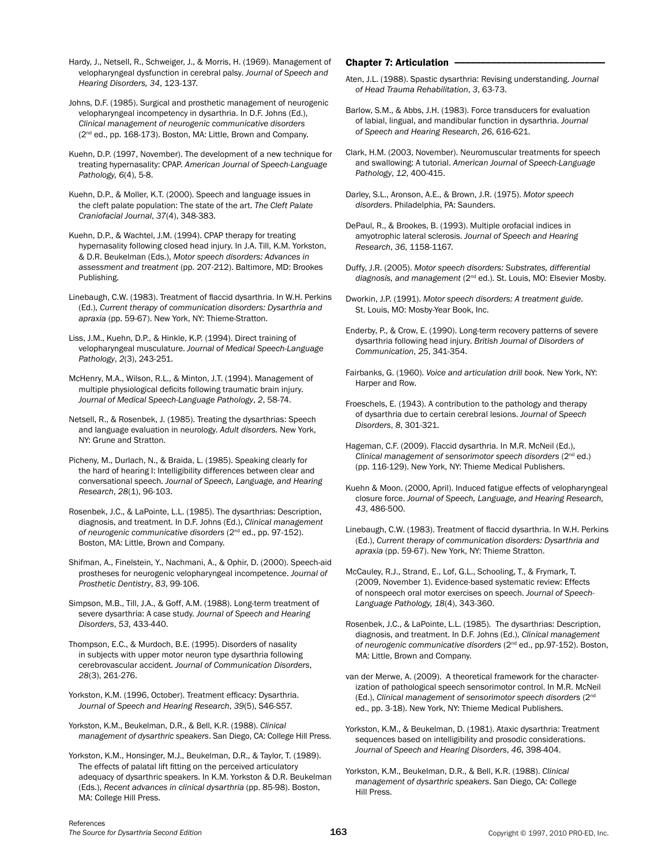Hardy, J., Netsell, R., Schweiger, J., & Morris, H. (1969). Management of velopharyngeal dysfunction in cerebral palsy. *Journal of Speech and Hearing Disorders, 34*, 123-137.

Johns, D.F. (1985). Surgical and prosthetic management of neurogenic velopharyngeal incompetency in dysarthria. In D.F. Johns (Ed.), *Clinical management of neurogenic communicative disorders* ( $2<sup>nd</sup>$  ed., pp. 168-173). Boston, MA: Little, Brown and Company.

Kuehn, D.P. (1997, November). The development of a new technique for treating hypernasality: CPAP. *American Journal of Speech-Language Pathology, 6*(4), 5-8.

Kuehn, D.P., & Moller, K.T. (2000). Speech and language issues in the cleft palate population: The state of the art. *The Cleft Palate Craniofacial Journal*, *37*(4), 348-383.

Kuehn, D.P., & Wachtel, J.M. (1994). CPAP therapy for treating hypernasality following closed head injury. In J.A. Till, K.M. Yorkston, & D.R. Beukelman (Eds.), *Motor speech disorders: Advances in assessment and treatment* (pp. 207-212). Baltimore, MD: Brookes Publishing.

Linebaugh, C.W. (1983). Treatment of flaccid dysarthria. In W.H. Perkins (Ed.), *Current therapy of communication disorders: Dysarthria and apraxia* (pp. 59-67). New York, NY: Thieme-Stratton.

Liss, J.M., Kuehn, D.P., & Hinkle, K.P. (1994). Direct training of velopharyngeal musculature. *Journal of Medical Speech-Language Pathology*, *2*(3), 243-251.

McHenry, M.A., Wilson, R.L., & Minton, J.T. (1994). Management of multiple physiological deficits following traumatic brain injury. *Journal of Medical Speech-Language Pathology*, *2*, 58-74.

Netsell, R., & Rosenbek, J. (1985). Treating the dysarthrias: Speech and language evaluation in neurology. *Adult disorders.* New York, NY: Grune and Stratton.

Picheny, M., Durlach, N., & Braida, L. (1985). Speaking clearly for the hard of hearing I: Intelligibility differences between clear and conversational speech. *Journal of Speech, Language, and Hearing Research*, *28*(1), 96-103.

Rosenbek, J.C., & LaPointe, L.L. (1985). The dysarthrias: Description, diagnosis, and treatment. In D.F. Johns (Ed.), *Clinical management of neurogenic communicative disorders* (2nd ed., pp. 97-152). Boston, MA: Little, Brown and Company.

Shifman, A., Finelstein, Y., Nachmani, A., & Ophir, D. (2000). Speech-aid prostheses for neurogenic velopharyngeal incompetence. *Journal of Prosthetic Dentistry*, *83*, 99-106.

Simpson, M.B., Till, J.A., & Goff, A.M. (1988). Long-term treatment of severe dysarthria: A case study. *Journal of Speech and Hearing Disorders*, *53*, 433-440.

Thompson, E.C., & Murdoch, B.E. (1995). Disorders of nasality in subjects with upper motor neuron type dysarthria following cerebrovascular accident. *Journal of Communication Disorders*, *28*(3), 261-276.

Yorkston, K.M. (1996, October). Treatment efficacy: Dysarthria. *Journal of Speech and Hearing Research*, *39*(5), S46-S57.

Yorkston, K.M., Beukelman, D.R., & Bell, K.R. (1988). *Clinical management of dysarthric speakers*. San Diego, CA: College Hill Press.

Yorkston, K.M., Honsinger, M.J., Beukelman, D.R., & Taylor, T. (1989). The effects of palatal lift fitting on the perceived articulatory adequacy of dysarthric speakers. In K.M. Yorkston & D.R. Beukelman (Eds.), *Recent advances in clinical dysarthria* (pp. 85-98). Boston, MA: College Hill Press.

## Chapter 7: Articulation -

Aten, J.L. (1988). Spastic dysarthria: Revising understanding. *Journal of Head Trauma Rehabilitation*, *3*, 63-73.

- Barlow, S.M., & Abbs, J.H. (1983). Force transducers for evaluation of labial, lingual, and mandibular function in dysarthria. *Journal of Speech and Hearing Research*, *26*, 616-621.
- Clark, H.M. (2003, November). Neuromuscular treatments for speech and swallowing: A tutorial. *American Journal of Speech-Language Pathology*, *12*, 400-415.

Darley, S.L., Aronson, A.E., & Brown, J.R. (1975). *Motor speech disorders*. Philadelphia, PA: Saunders.

DePaul, R., & Brookes, B. (1993). Multiple orofacial indices in amyotrophic lateral sclerosis. *Journal of Speech and Hearing Research*, *36*, 1158-1167.

Duffy, J.R. (2005). *Motor speech disorders: Substrates, differential diagnosis, and management* (2nd ed.). St. Louis, MO: Elsevier Mosby.

Dworkin, J.P. (1991). *Motor speech disorders: A treatment guide.* St. Louis, MO: Mosby-Year Book, Inc.

Enderby, P., & Crow, E. (1990). Long-term recovery patterns of severe dysarthria following head injury. *British Journal of Disorders of Communication*, *25*, 341-354.

Fairbanks, G. (1960). *Voice and articulation drill book.* New York, NY: Harper and Row.

Froeschels, E. (1943). A contribution to the pathology and therapy of dysarthria due to certain cerebral lesions. *Journal of Speech Disorders*, *8*, 301-321.

Hageman, C.F. (2009). Flaccid dysarthria. In M.R. McNeil (Ed.), *Clinical management of sensorimotor speech disorders* (2nd ed.) (pp. 116-129). New York, NY: Thieme Medical Publishers.

Kuehn & Moon. (2000, April). Induced fatigue effects of velopharyngeal closure force. *Journal of Speech, Language, and Hearing Research, 43*, 486-500.

Linebaugh, C.W. (1983). Treatment of flaccid dysarthria. In W.H. Perkins (Ed.), *Current therapy of communication disorders: Dysarthria and apraxia* (pp. 59-67). New York, NY: Thieme Stratton.

McCauley, R.J., Strand, E., Lof, G.L., Schooling, T., & Frymark, T. (2009, November 1). Evidence-based systematic review: Effects of nonspeech oral motor exercises on speech. *Journal of Speech-Language Pathology, 18*(4), 343-360.

Rosenbek, J.C., & LaPointe, L.L. (1985). The dysarthrias: Description, diagnosis, and treatment. In D.F. Johns (Ed.), *Clinical management of neurogenic communicative disorders* (2nd ed., pp.97-152). Boston, MA: Little, Brown and Company.

van der Merwe, A. (2009). A theoretical framework for the characterization of pathological speech sensorimotor control. In M.R. McNeil (Ed.), *Clinical management of sensorimotor speech disorders* (2nd ed., pp. 3-18). New York, NY: Thieme Medical Publishers.

Yorkston, K.M., & Beukelman, D. (1981). Ataxic dysarthria: Treatment sequences based on intelligibility and prosodic considerations. *Journal of Speech and Hearing Disorders*, *46*, 398-404.

Yorkston, K.M., Beukelman, D.R., & Bell, K.R. (1988). *Clinical management of dysarthric speakers*. San Diego, CA: College Hill Press.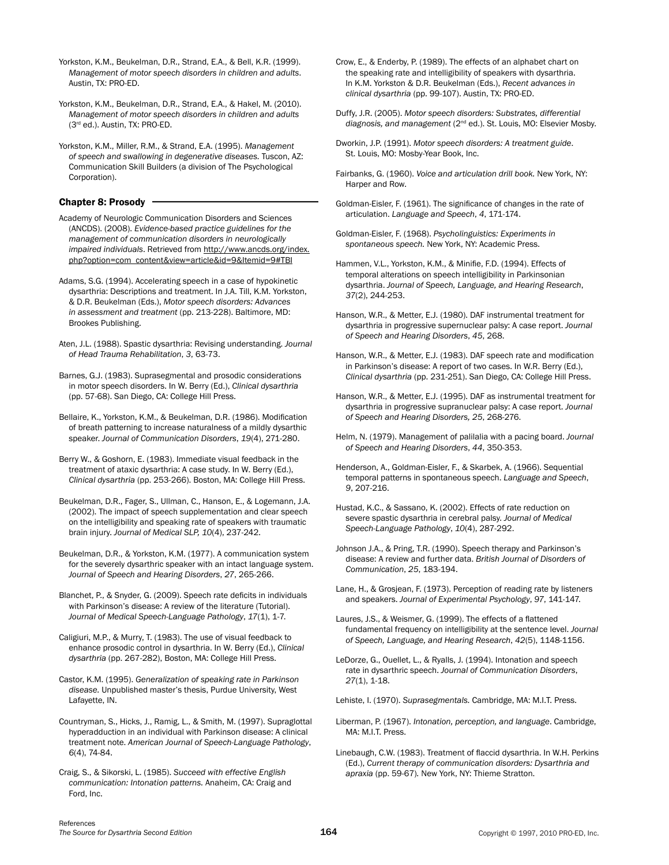- Yorkston, K.M., Beukelman, D.R., Strand, E.A., & Bell, K.R. (1999). *Management of motor speech disorders in children and adults*. Austin, TX: PRO-ED.
- Yorkston, K.M., Beukelman, D.R., Strand, E.A., & Hakel, M. (2010). *Management of motor speech disorders in children and adults*  (3rd ed.). Austin, TX: PRO-ED.
- Yorkston, K.M., Miller, R.M., & Strand, E.A. (1995). *Management of speech and swallowing in degenerative diseases.* Tuscon, AZ: Communication Skill Builders (a division of The Psychological Corporation).

## Chapter 8: Prosody

- Academy of Neurologic Communication Disorders and Sciences (ANCDS). (2008). *Evidence-based practice guidelines for the management of communication disorders in neurologically impaired individuals*. Retrieved from http://www.ancds.org/index. php?option=com\_content&view=article&id=9&Itemid=9#TBI
- Adams, S.G. (1994). Accelerating speech in a case of hypokinetic dysarthria: Descriptions and treatment. In J.A. Till, K.M. Yorkston, & D.R. Beukelman (Eds.), *Motor speech disorders: Advances in assessment and treatment* (pp. 213-228). Baltimore, MD: Brookes Publishing.
- Aten, J.L. (1988). Spastic dysarthria: Revising understanding. *Journal of Head Trauma Rehabilitation*, *3*, 63-73.
- Barnes, G.J. (1983). Suprasegmental and prosodic considerations in motor speech disorders. In W. Berry (Ed.), *Clinical dysarthria*  (pp. 57-68). San Diego, CA: College Hill Press.
- Bellaire, K., Yorkston, K.M., & Beukelman, D.R. (1986). Modification of breath patterning to increase naturalness of a mildly dysarthic speaker. *Journal of Communication Disorders*, *19*(4), 271-280.
- Berry W., & Goshorn, E. (1983). Immediate visual feedback in the treatment of ataxic dysarthria: A case study. In W. Berry (Ed.), *Clinical dysarthria* (pp. 253-266). Boston, MA: College Hill Press.
- Beukelman, D.R., Fager, S., Ullman, C., Hanson, E., & Logemann, J.A. (2002). The impact of speech supplementation and clear speech on the intelligibility and speaking rate of speakers with traumatic brain injury. *Journal of Medical SLP, 10*(4), 237-242.
- Beukelman, D.R., & Yorkston, K.M. (1977). A communication system for the severely dysarthric speaker with an intact language system. *Journal of Speech and Hearing Disorders*, *27*, 265-266.
- Blanchet, P., & Snyder, G. (2009). Speech rate deficits in individuals with Parkinson's disease: A review of the literature (Tutorial). *Journal of Medical Speech-Language Pathology*, *17*(1), 1-7.
- Caligiuri, M.P., & Murry, T. (1983). The use of visual feedback to enhance prosodic control in dysarthria. In W. Berry (Ed.), *Clinical dysarthria* (pp. 267-282), Boston, MA: College Hill Press.
- Castor, K.M. (1995). *Generalization of speaking rate in Parkinson disease.* Unpublished master's thesis, Purdue University, West Lafayette, IN.
- Countryman, S., Hicks, J., Ramig, L., & Smith, M. (1997). Supraglottal hyperadduction in an individual with Parkinson disease: A clinical treatment note. *American Journal of Speech-Language Pathology*, *6*(4), 74-84.
- Craig, S., & Sikorski, L. (1985). *Succeed with effective English communication: Intonation patterns.* Anaheim, CA: Craig and Ford, Inc.
- Crow, E., & Enderby, P. (1989). The effects of an alphabet chart on the speaking rate and intelligibility of speakers with dysarthria. In K.M. Yorkston & D.R. Beukelman (Eds.), *Recent advances in clinical dysarthria* (pp. 99-107). Austin, TX: PRO-ED.
- Duffy, J.R. (2005). *Motor speech disorders: Substrates, differential diagnosis, and management* (2nd ed.). St. Louis, MO: Elsevier Mosby.
- Dworkin, J.P. (1991). *Motor speech disorders: A treatment guide*. St. Louis, MO: Mosby-Year Book, Inc.
- Fairbanks, G. (1960). *Voice and articulation drill book.* New York, NY: Harper and Row.
- Goldman-Eisler, F. (1961). The significance of changes in the rate of articulation. *Language and Speech*, *4*, 171-174.
- Goldman-Eisler, F. (1968). *Psycholinguistics: Experiments in spontaneous speech.* New York, NY: Academic Press.
- Hammen, V.L., Yorkston, K.M., & Minifie, F.D. (1994). Effects of temporal alterations on speech intelligibility in Parkinsonian dysarthria. *Journal of Speech, Language, and Hearing Research*, *37*(2), 244-253.
- Hanson, W.R., & Metter, E.J. (1980). DAF instrumental treatment for dysarthria in progressive supernuclear palsy: A case report. *Journal of Speech and Hearing Disorders*, *45*, 268.
- Hanson, W.R., & Metter, E.J. (1983). DAF speech rate and modification in Parkinson's disease: A report of two cases. In W.R. Berry (Ed.), *Clinical dysarthria* (pp. 231-251). San Diego, CA: College Hill Press.
- Hanson, W.R., & Metter, E.J. (1995). DAF as instrumental treatment for dysarthria in progressive supranuclear palsy: A case report. *Journal of Speech and Hearing Disorders, 25*, 268-276.
- Helm, N. (1979). Management of palilalia with a pacing board. *Journal of Speech and Hearing Disorders*, *44*, 350-353.
- Henderson, A., Goldman-Eisler, F., & Skarbek, A. (1966). Sequential temporal patterns in spontaneous speech. *Language and Speech*, *9*, 207-216.
- Hustad, K.C., & Sassano, K. (2002). Effects of rate reduction on severe spastic dysarthria in cerebral palsy. *Journal of Medical Speech-Language Pathology*, *10*(4), 287-292.
- Johnson J.A., & Pring, T.R. (1990). Speech therapy and Parkinson's disease: A review and further data. *British Journal of Disorders of Communication*, *25*, 183-194.
- Lane, H., & Grosjean, F. (1973). Perception of reading rate by listeners and speakers. *Journal of Experimental Psychology*, *97*, 141-147.
- Laures, J.S., & Weismer, G. (1999). The effects of a flattened fundamental frequency on intelligibility at the sentence level. *Journal of Speech, Language, and Hearing Research*, *42*(5), 1148-1156.
- LeDorze, G., Ouellet, L., & Ryalls, J. (1994). Intonation and speech rate in dysarthric speech. *Journal of Communication Disorders*, *27*(1), 1-18.
- Lehiste, I. (1970). *Suprasegmentals.* Cambridge, MA: M.I.T. Press.
- Liberman, P. (1967). *Intonation, perception, and language*. Cambridge, MA: M.I.T. Press.
- Linebaugh, C.W. (1983). Treatment of flaccid dysarthria. In W.H. Perkins (Ed.), *Current therapy of communication disorders: Dysarthria and apraxia* (pp. 59-67)*.* New York, NY: Thieme Stratton.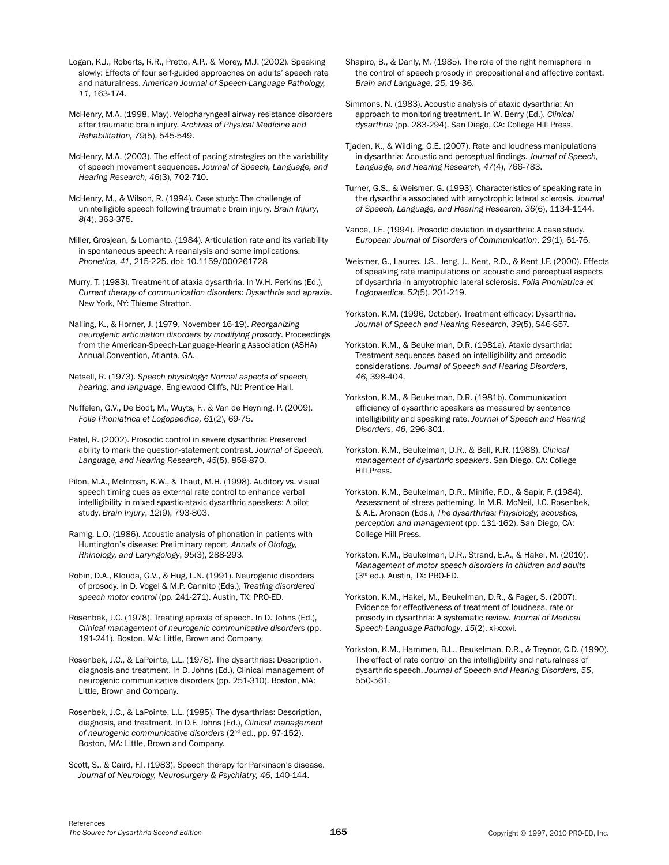- Logan, K.J., Roberts, R.R., Pretto, A.P., & Morey, M.J. (2002). Speaking slowly: Effects of four self-guided approaches on adults' speech rate and naturalness. *American Journal of Speech-Language Pathology, 11,* 163-174.
- McHenry, M.A. (1998, May). Velopharyngeal airway resistance disorders after traumatic brain injury. *Archives of Physical Medicine and Rehabilitation, 79*(5), 545-549.
- McHenry, M.A. (2003). The effect of pacing strategies on the variability of speech movement sequences. *Journal of Speech, Language, and Hearing Research*, *46*(3), 702-710.
- McHenry, M., & Wilson, R. (1994). Case study: The challenge of unintelligible speech following traumatic brain injury. *Brain Injury*, *8*(4), 363-375.
- Miller, Grosjean, & Lomanto. (1984). Articulation rate and its variability in spontaneous speech: A reanalysis and some implications. *Phonetica, 41*, 215-225. doi: 10.1159/000261728
- Murry, T. (1983). Treatment of ataxia dysarthria. In W.H. Perkins (Ed.), *Current therapy of communication disorders: Dysarthria and apraxia*. New York, NY: Thieme Stratton.
- Nalling, K., & Horner, J. (1979, November 16-19). *Reorganizing neurogenic articulation disorders by modifying prosody*. Proceedings from the American-Speech-Language-Hearing Association (ASHA) Annual Convention, Atlanta, GA.
- Netsell, R. (1973). *Speech physiology: Normal aspects of speech, hearing, and language*. Englewood Cliffs, NJ: Prentice Hall.
- Nuffelen, G.V., De Bodt, M., Wuyts, F., & Van de Heyning, P. (2009). *Folia Phoniatrica et Logopaedica, 61*(2), 69-75.
- Patel, R. (2002). Prosodic control in severe dysarthria: Preserved ability to mark the question-statement contrast. *Journal of Speech, Language, and Hearing Research*, *45*(5), 858-870.
- Pilon, M.A., McIntosh, K.W., & Thaut, M.H. (1998). Auditory vs. visual speech timing cues as external rate control to enhance verbal intelligibility in mixed spastic-ataxic dysarthric speakers: A pilot study. *Brain Injury*, *12*(9), 793-803.
- Ramig, L.O. (1986). Acoustic analysis of phonation in patients with Huntington's disease: Preliminary report. *Annals of Otology, Rhinology, and Laryngology*, *95*(3), 288-293.
- Robin, D.A., Klouda, G.V., & Hug, L.N. (1991). Neurogenic disorders of prosody. In D. Vogel & M.P. Cannito (Eds.), *Treating disordered speech motor control* (pp. 241-271). Austin, TX: PRO-ED.
- Rosenbek, J.C. (1978). Treating apraxia of speech. In D. Johns (Ed.), *Clinical management of neurogenic communicative disorders* (pp. 191-241). Boston, MA: Little, Brown and Company.
- Rosenbek, J.C., & LaPointe, L.L. (1978). The dysarthrias: Description, diagnosis and treatment. In D. Johns (Ed.), Clinical management of neurogenic communicative disorders (pp. 251-310). Boston, MA: Little, Brown and Company.
- Rosenbek, J.C., & LaPointe, L.L. (1985). The dysarthrias: Description, diagnosis, and treatment. In D.F. Johns (Ed.), *Clinical management of neurogenic communicative disorders* (2nd ed., pp. 97-152). Boston, MA: Little, Brown and Company.
- Scott, S., & Caird, F.I. (1983). Speech therapy for Parkinson's disease. *Journal of Neurology, Neurosurgery & Psychiatry, 46*, 140-144.
- Shapiro, B., & Danly, M. (1985). The role of the right hemisphere in the control of speech prosody in prepositional and affective context. *Brain and Language*, *25*, 19-36.
- Simmons, N. (1983). Acoustic analysis of ataxic dysarthria: An approach to monitoring treatment. In W. Berry (Ed.), *Clinical dysarthria* (pp. 283-294). San Diego, CA: College Hill Press.
- Tjaden, K., & Wilding, G.E. (2007). Rate and loudness manipulations in dysarthria: Acoustic and perceptual findings. *Journal of Speech, Language, and Hearing Research, 47*(4), 766-783.
- Turner, G.S., & Weismer, G. (1993). Characteristics of speaking rate in the dysarthria associated with amyotrophic lateral sclerosis. *Journal of Speech, Language, and Hearing Research*, *36*(6), 1134-1144.
- Vance, J.E. (1994). Prosodic deviation in dysarthria: A case study. *European Journal of Disorders of Communication*, *29*(1), 61-76.
- Weismer, G., Laures, J.S., Jeng, J., Kent, R.D., & Kent J.F. (2000). Effects of speaking rate manipulations on acoustic and perceptual aspects of dysarthria in amyotrophic lateral sclerosis. *Folia Phoniatrica et Logopaedica*, *52*(5), 201-219.
- Yorkston, K.M. (1996, October). Treatment efficacy: Dysarthria. *Journal of Speech and Hearing Research*, *39*(5), S46-S57.
- Yorkston, K.M., & Beukelman, D.R. (1981a). Ataxic dysarthria: Treatment sequences based on intelligibility and prosodic considerations. *Journal of Speech and Hearing Disorders*, *46*, 398-404.
- Yorkston, K.M., & Beukelman, D.R. (1981b). Communication efficiency of dysarthric speakers as measured by sentence intelligibility and speaking rate. *Journal of Speech and Hearing Disorders*, *46*, 296-301.
- Yorkston, K.M., Beukelman, D.R., & Bell, K.R. (1988). *Clinical management of dysarthric speakers*. San Diego, CA: College Hill Press.
- Yorkston, K.M., Beukelman, D.R., Minifie, F.D., & Sapir, F. (1984). Assessment of stress patterning. In M.R. McNeil, J.C. Rosenbek, & A.E. Aronson (Eds.), *The dysarthrias: Physiology, acoustics, perception and management* (pp. 131-162). San Diego, CA: College Hill Press.
- Yorkston, K.M., Beukelman, D.R., Strand, E.A., & Hakel, M. (2010). *Management of motor speech disorders in children and adults*  (3rd ed.). Austin, TX: PRO-ED.
- Yorkston, K.M., Hakel, M., Beukelman, D.R., & Fager, S. (2007). Evidence for effectiveness of treatment of loudness, rate or prosody in dysarthria: A systematic review. *Journal of Medical Speech-Language Pathology*, *15*(2), xi-xxxvi.
- Yorkston, K.M., Hammen, B.L., Beukelman, D.R., & Traynor, C.D. (1990). The effect of rate control on the intelligibility and naturalness of dysarthric speech. *Journal of Speech and Hearing Disorders*, *55*, 550-561.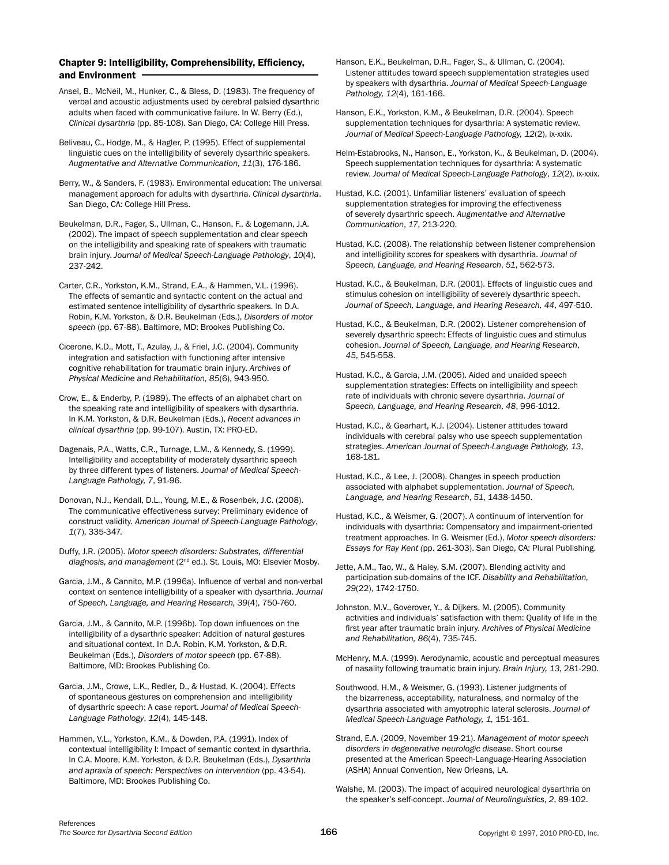# Chapter 9: Intelligibility, Comprehensibility, Efficiency, and Environment

Ansel, B., McNeil, M., Hunker, C., & Bless, D. (1983). The frequency of verbal and acoustic adjustments used by cerebral palsied dysarthric adults when faced with communicative failure. In W. Berry (Ed.), *Clinical dysarthria* (pp. 85-108). San Diego, CA: College Hill Press.

Beliveau, C., Hodge, M., & Hagler, P. (1995). Effect of supplemental linguistic cues on the intelligibility of severely dysarthric speakers. *Augmentative and Alternative Communication, 11*(3), 176-186.

Berry, W., & Sanders, F. (1983). Environmental education: The universal management approach for adults with dysarthria. *Clinical dysarthria*. San Diego, CA: College Hill Press.

Beukelman, D.R., Fager, S., Ullman, C., Hanson, F., & Logemann, J.A. (2002). The impact of speech supplementation and clear speech on the intelligibility and speaking rate of speakers with traumatic brain injury. *Journal of Medical Speech-Language Pathology*, *10*(4), 237-242.

Carter, C.R., Yorkston, K.M., Strand, E.A., & Hammen, V.L. (1996). The effects of semantic and syntactic content on the actual and estimated sentence intelligibility of dysarthric speakers. In D.A. Robin, K.M. Yorkston, & D.R. Beukelman (Eds.), *Disorders of motor speech* (pp. 67-88). Baltimore, MD: Brookes Publishing Co.

Cicerone, K.D., Mott, T., Azulay, J., & Friel, J.C. (2004). Community integration and satisfaction with functioning after intensive cognitive rehabilitation for traumatic brain injury. *Archives of Physical Medicine and Rehabilitation, 85*(6), 943-950.

Crow, E., & Enderby, P. (1989). The effects of an alphabet chart on the speaking rate and intelligibility of speakers with dysarthria. In K.M. Yorkston, & D.R. Beukelman (Eds.), *Recent advances in clinical dysarthria* (pp. 99-107). Austin, TX: PRO-ED.

Dagenais, P.A., Watts, C.R., Turnage, L.M., & Kennedy, S. (1999). Intelligibility and acceptability of moderately dysarthric speech by three different types of listeners. *Journal of Medical Speech-Language Pathology, 7*, 91-96.

Donovan, N.J., Kendall, D.L., Young, M.E., & Rosenbek, J.C. (2008). The communicative effectiveness survey: Preliminary evidence of construct validity. *American Journal of Speech-Language Pathology*, *1*(7), 335-347.

Duffy, J.R. (2005). *Motor speech disorders: Substrates, differential diagnosis, and management* (2nd ed.). St. Louis, MO: Elsevier Mosby.

Garcia, J.M., & Cannito, M.P. (1996a). Influence of verbal and non-verbal context on sentence intelligibility of a speaker with dysarthria. *Journal of Speech, Language, and Hearing Research, 39*(4), 750-760.

Garcia, J.M., & Cannito, M.P. (1996b). Top down influences on the intelligibility of a dysarthric speaker: Addition of natural gestures and situational context. In D.A. Robin, K.M. Yorkston, & D.R. Beukelman (Eds.), *Disorders of motor speech* (pp. 67-88). Baltimore, MD: Brookes Publishing Co.

Garcia, J.M., Crowe, L.K., Redler, D., & Hustad, K. (2004). Effects of spontaneous gestures on comprehension and intelligibility of dysarthric speech: A case report. *Journal of Medical Speech-Language Pathology*, *12*(4), 145-148.

Hammen, V.L., Yorkston, K.M., & Dowden, P.A. (1991). Index of contextual intelligibility I: Impact of semantic context in dysarthria. In C.A. Moore, K.M. Yorkston, & D.R. Beukelman (Eds.), *Dysarthria and apraxia of speech: Perspectives on intervention* (pp. 43-54). Baltimore, MD: Brookes Publishing Co.

Hanson, E.K., Beukelman, D.R., Fager, S., & Ullman, C. (2004). Listener attitudes toward speech supplementation strategies used by speakers with dysarthria. *Journal of Medical Speech-Language Pathology, 12*(4), 161-166.

Hanson, E.K., Yorkston, K.M., & Beukelman, D.R. (2004). Speech supplementation techniques for dysarthria: A systematic review. *Journal of Medical Speech-Language Pathology, 12*(2), ix-xxix.

Helm-Estabrooks, N., Hanson, E., Yorkston, K., & Beukelman, D. (2004). Speech supplementation techniques for dysarthria: A systematic review. *Journal of Medical Speech-Language Pathology*, *12*(2), ix-xxix.

Hustad, K.C. (2001). Unfamiliar listeners' evaluation of speech supplementation strategies for improving the effectiveness of severely dysarthric speech. *Augmentative and Alternative Communication*, *17*, 213-220.

Hustad, K.C. (2008). The relationship between listener comprehension and intelligibility scores for speakers with dysarthria. *Journal of Speech, Language, and Hearing Research*, *51*, 562-573.

Hustad, K.C., & Beukelman, D.R. (2001). Effects of linguistic cues and stimulus cohesion on intelligibility of severely dysarthric speech. *Journal of Speech, Language, and Hearing Research, 44*, 497-510.

Hustad, K.C., & Beukelman, D.R. (2002). Listener comprehension of severely dysarthric speech: Effects of linguistic cues and stimulus cohesion. *Journal of Speech, Language, and Hearing Research*, *45*, 545-558.

Hustad, K.C., & Garcia, J.M. (2005). Aided and unaided speech supplementation strategies: Effects on intelligibility and speech rate of individuals with chronic severe dysarthria. *Journal of Speech, Language, and Hearing Research*, *48*, 996-1012.

Hustad, K.C., & Gearhart, K.J. (2004). Listener attitudes toward individuals with cerebral palsy who use speech supplementation strategies. *American Journal of Speech-Language Pathology, 13*, 168-181.

Hustad, K.C., & Lee, J. (2008). Changes in speech production associated with alphabet supplementation. *Journal of Speech, Language, and Hearing Research*, *51*, 1438-1450.

Hustad, K.C., & Weismer, G. (2007). A continuum of intervention for individuals with dysarthria: Compensatory and impairment-oriented treatment approaches. In G. Weismer (Ed.), *Motor speech disorders: Essays for Ray Kent (*pp. 261-303). San Diego, CA: Plural Publishing.

Jette, A.M., Tao, W., & Haley, S.M. (2007). Blending activity and participation sub-domains of the ICF. *Disability and Rehabilitation, 29*(22), 1742-1750.

Johnston, M.V., Goverover, Y., & Dijkers, M. (2005). Community activities and individuals' satisfaction with them: Quality of life in the first year after traumatic brain injury. *Archives of Physical Medicine and Rehabilitation, 86*(4), 735-745.

McHenry, M.A. (1999). Aerodynamic, acoustic and perceptual measures of nasality following traumatic brain injury. *Brain Injury, 13*, 281-290.

Southwood, H.M., & Weismer, G. (1993). Listener judgments of the bizarreness, acceptability, naturalness, and normalcy of the dysarthria associated with amyotrophic lateral sclerosis. *Journal of Medical Speech-Language Pathology, 1,* 151-161.

Strand, E.A. (2009, November 19-21). *Management of motor speech disorders in degenerative neurologic disease*. Short course presented at the American Speech-Language-Hearing Association (ASHA) Annual Convention, New Orleans, LA.

Walshe, M. (2003). The impact of acquired neurological dysarthria on the speaker's self-concept. *Journal of Neurolinguistics*, *2*, 89-102.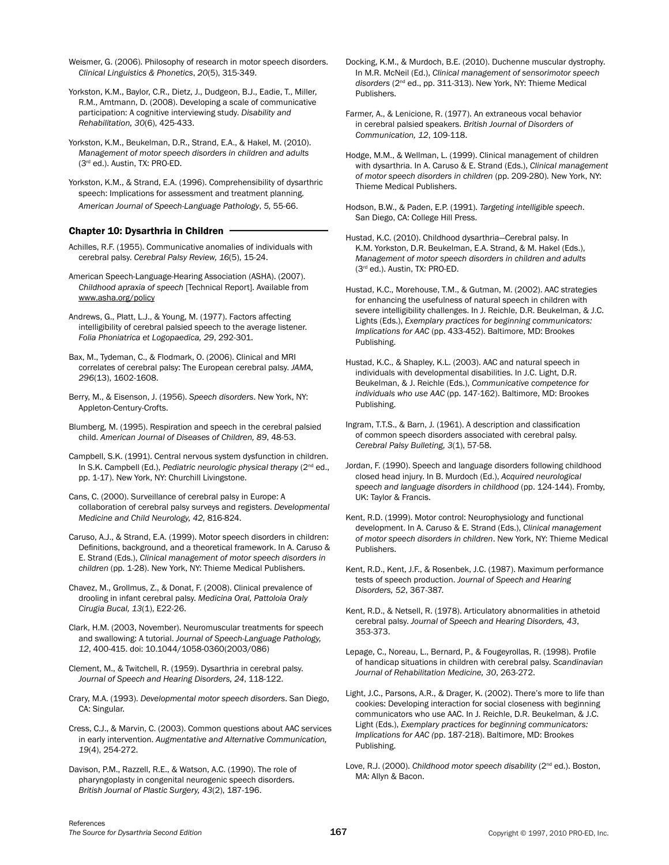Weismer, G. (2006). Philosophy of research in motor speech disorders. *Clinical Linguistics & Phonetics*, *20*(5), 315-349.

Yorkston, K.M., Baylor, C.R., Dietz, J., Dudgeon, B.J., Eadie, T., Miller, R.M., Amtmann, D. (2008). Developing a scale of communicative participation: A cognitive interviewing study. *Disability and Rehabilitation, 30*(6), 425-433.

Yorkston, K.M., Beukelman, D.R., Strand, E.A., & Hakel, M. (2010). *Management of motor speech disorders in children and adults* (3rd ed.). Austin, TX: PRO-ED.

Yorkston, K.M., & Strand, E.A. (1996). Comprehensibility of dysarthric speech: Implications for assessment and treatment planning. *American Journal of Speech-Language Pathology*, *5,* 55-66.

### Chapter 10: Dysarthria in Children -

Achilles, R.F. (1955). Communicative anomalies of individuals with cerebral palsy. *Cerebral Palsy Review, 16*(5), 15-24.

American Speech-Language-Hearing Association (ASHA). (2007). *Childhood apraxia of speech* [Technical Report]. Available from www.asha.org/policy

Andrews, G., Platt, L.J., & Young, M. (1977). Factors affecting intelligibility of cerebral palsied speech to the average listener. *Folia Phoniatrica et Logopaedica, 29*, 292-301.

Bax, M., Tydeman, C., & Flodmark, O. (2006). Clinical and MRI correlates of cerebral palsy: The European cerebral palsy. *JAMA, 296*(13), 1602-1608.

- Berry, M., & Eisenson, J. (1956). *Speech disorders*. New York, NY: Appleton-Century-Crofts.
- Blumberg, M. (1995). Respiration and speech in the cerebral palsied child. *American Journal of Diseases of Children, 89*, 48-53.
- Campbell, S.K. (1991). Central nervous system dysfunction in children. In S.K. Campbell (Ed.), *Pediatric neurologic physical therapy* (2<sup>nd</sup> ed., pp. 1-17). New York, NY: Churchill Livingstone.

Cans, C. (2000). Surveillance of cerebral palsy in Europe: A collaboration of cerebral palsy surveys and registers. *Developmental Medicine and Child Neurology, 42,* 816-824.

Caruso, A.J., & Strand, E.A. (1999). Motor speech disorders in children: Definitions, background, and a theoretical framework. In A. Caruso & E. Strand (Eds.), *Clinical management of motor speech disorders in children* (pp. 1-28). New York, NY: Thieme Medical Publishers.

Chavez, M., Grollmus, Z., & Donat, F. (2008). Clinical prevalence of drooling in infant cerebral palsy. *Medicina Oral, Pattoloia Oraly Cirugia Bucal, 13*(1), E22-26.

Clark, H.M. (2003, November). Neuromuscular treatments for speech and swallowing: A tutorial. *Journal of Speech-Language Pathology, 12*, 400-415. doi: 10.1044/1058-0360(2003/086)

Clement, M., & Twitchell, R. (1959). Dysarthria in cerebral palsy. *Journal of Speech and Hearing Disorders, 24*, 118-122.

Crary, M.A. (1993). *Developmental motor speech disorders*. San Diego, CA: Singular.

Cress, C.J., & Marvin, C. (2003). Common questions about AAC services in early intervention. *Augmentative and Alternative Communication, 19*(4), 254-272.

Davison, P.M., Razzell, R.E., & Watson, A.C. (1990). The role of pharyngoplasty in congenital neurogenic speech disorders. *British Journal of Plastic Surgery, 43*(2), 187-196.

Docking, K.M., & Murdoch, B.E. (2010). Duchenne muscular dystrophy. In M.R. McNeil (Ed.), *Clinical management of sensorimotor speech disorders* (2nd ed., pp. 311-313). New York, NY: Thieme Medical Publishers.

Farmer, A., & Lenicione, R. (1977). An extraneous vocal behavior in cerebral palsied speakers. *British Journal of Disorders of Communication, 12*, 109-118.

Hodge, M.M., & Wellman, L. (1999). Clinical management of children with dysarthria. In A. Caruso & E. Strand (Eds.), *Clinical management of motor speech disorders in children* (pp. 209-280)*.* New York, NY: Thieme Medical Publishers.

Hodson, B.W., & Paden, E.P. (1991). *Targeting intelligible speech*. San Diego, CA: College Hill Press.

Hustad, K.C. (2010). Childhood dysarthria—Cerebral palsy. In K.M. Yorkston, D.R. Beukelman, E.A. Strand, & M. Hakel (Eds.), *Management of motor speech disorders in children and adults*  (3rd ed.). Austin, TX: PRO-ED.

Hustad, K.C., Morehouse, T.M., & Gutman, M. (2002). AAC strategies for enhancing the usefulness of natural speech in children with severe intelligibility challenges. In J. Reichle, D.R. Beukelman, & J.C. Lights (Eds.), *Exemplary practices for beginning communicators: Implications for AAC* (pp. 433-452). Baltimore, MD: Brookes Publishing.

Hustad, K.C., & Shapley, K.L. (2003). AAC and natural speech in individuals with developmental disabilities. In J.C. Light, D.R. Beukelman, & J. Reichle (Eds.), *Communicative competence for individuals who use AAC* (pp. 147-162). Baltimore, MD: Brookes Publishing.

Ingram, T.T.S., & Barn, J. (1961). A description and classification of common speech disorders associated with cerebral palsy. *Cerebral Palsy Bulleting, 3*(1), 57-58.

Jordan, F. (1990). Speech and language disorders following childhood closed head injury. In B. Murdoch (Ed.), *Acquired neurological speech and language disorders in childhood* (pp. 124-144). Fromby, UK: Taylor & Francis.

Kent, R.D. (1999). Motor control: Neurophysiology and functional development. In A. Caruso & E. Strand (Eds.), *Clinical management of motor speech disorders in children*. New York, NY: Thieme Medical Publishers.

Kent, R.D., Kent, J.F., & Rosenbek, J.C. (1987). Maximum performance tests of speech production. *Journal of Speech and Hearing Disorders, 52*, 367-387.

Kent, R.D., & Netsell, R. (1978). Articulatory abnormalities in athetoid cerebral palsy. *Journal of Speech and Hearing Disorders, 43*, 353-373.

Lepage, C., Noreau, L., Bernard, P., & Fougeyrollas, R. (1998). Profile of handicap situations in children with cerebral palsy. *Scandinavian Journal of Rehabilitation Medicine, 30*, 263-272.

Light, J.C., Parsons, A.R., & Drager, K. (2002). There's more to life than cookies: Developing interaction for social closeness with beginning communicators who use AAC. In J. Reichle, D.R. Beukelman, & J.C. Light (Eds.), *Exemplary practices for beginning communicators: Implications for AAC (*pp. 187-218). Baltimore, MD: Brookes Publishing.

Love, R.J. (2000). *Childhood motor speech disability* (2nd ed.). Boston, MA: Allyn & Bacon.